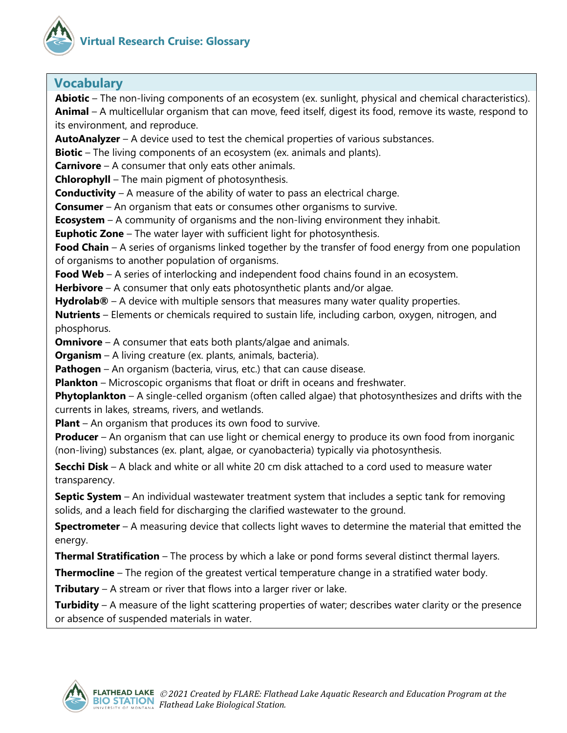



## **Vocabulary**

**Abiotic** – The non-living components of an ecosystem (ex. sunlight, physical and chemical characteristics). **Animal** – A multicellular organism that can move, feed itself, digest its food, remove its waste, respond to its environment, and reproduce.

**AutoAnalyzer** – A device used to test the chemical properties of various substances.

**Biotic** – The living components of an ecosystem (ex. animals and plants).

**Carnivore** – A consumer that only eats other animals.

**Chlorophyll** – The main pigment of photosynthesis.

**Conductivity** – A measure of the ability of water to pass an electrical charge.

**Consumer** – An organism that eats or consumes other organisms to survive.

**Ecosystem** – A community of organisms and the non-living environment they inhabit.

**Euphotic Zone** – The water layer with sufficient light for photosynthesis.

**Food Chain** – A series of organisms linked together by the transfer of food energy from one population of organisms to another population of organisms.

**Food Web** – A series of interlocking and independent food chains found in an ecosystem.

**Herbivore** – A consumer that only eats photosynthetic plants and/or algae.

**Hydrolab®** – A device with multiple sensors that measures many water quality properties.

**Nutrients** – Elements or chemicals required to sustain life, including carbon, oxygen, nitrogen, and phosphorus.

**Omnivore** – A consumer that eats both plants/algae and animals.

**Organism** – A living creature (ex. plants, animals, bacteria).

**Pathogen** – An organism (bacteria, virus, etc.) that can cause disease.

**Plankton** – Microscopic organisms that float or drift in oceans and freshwater.

**Phytoplankton** – A single-celled organism (often called algae) that photosynthesizes and drifts with the currents in lakes, streams, rivers, and wetlands.

**Plant** – An organism that produces its own food to survive.

**Producer** – An organism that can use light or chemical energy to produce its own food from inorganic (non-living) substances (ex. plant, algae, or cyanobacteria) typically via photosynthesis.

**Secchi Disk** – A black and white or all white 20 cm disk attached to a cord used to measure water transparency.

**Septic System** – An individual wastewater treatment system that includes a septic tank for removing solids, and a leach field for discharging the clarified wastewater to the ground.

**Spectrometer** – A measuring device that collects light waves to determine the material that emitted the energy.

**Thermal Stratification** – The process by which a lake or pond forms several distinct thermal layers.

**Thermocline** – The region of the greatest vertical temperature change in a stratified water body.

**Tributary** – A stream or river that flows into a larger river or lake.

**Turbidity** – A measure of the light scattering properties of water; describes water clarity or the presence or absence of suspended materials in water.